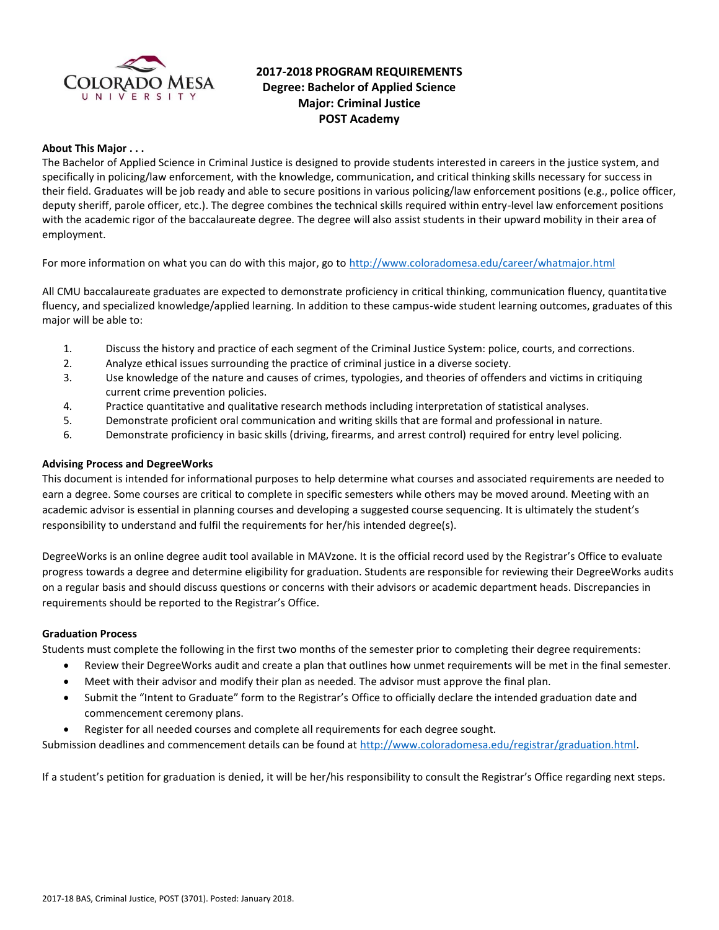

# **2017-2018 PROGRAM REQUIREMENTS Degree: Bachelor of Applied Science Major: Criminal Justice POST Academy**

### **About This Major . . .**

The Bachelor of Applied Science in Criminal Justice is designed to provide students interested in careers in the justice system, and specifically in policing/law enforcement, with the knowledge, communication, and critical thinking skills necessary for success in their field. Graduates will be job ready and able to secure positions in various policing/law enforcement positions (e.g., police officer, deputy sheriff, parole officer, etc.). The degree combines the technical skills required within entry-level law enforcement positions with the academic rigor of the baccalaureate degree. The degree will also assist students in their upward mobility in their area of employment.

For more information on what you can do with this major, go to<http://www.coloradomesa.edu/career/whatmajor.html>

All CMU baccalaureate graduates are expected to demonstrate proficiency in critical thinking, communication fluency, quantitative fluency, and specialized knowledge/applied learning. In addition to these campus-wide student learning outcomes, graduates of this major will be able to:

- 1. Discuss the history and practice of each segment of the Criminal Justice System: police, courts, and corrections.
- 2. Analyze ethical issues surrounding the practice of criminal justice in a diverse society.
- 3. Use knowledge of the nature and causes of crimes, typologies, and theories of offenders and victims in critiquing current crime prevention policies.
- 4. Practice quantitative and qualitative research methods including interpretation of statistical analyses.
- 5. Demonstrate proficient oral communication and writing skills that are formal and professional in nature.
- 6. Demonstrate proficiency in basic skills (driving, firearms, and arrest control) required for entry level policing.

### **Advising Process and DegreeWorks**

This document is intended for informational purposes to help determine what courses and associated requirements are needed to earn a degree. Some courses are critical to complete in specific semesters while others may be moved around. Meeting with an academic advisor is essential in planning courses and developing a suggested course sequencing. It is ultimately the student's responsibility to understand and fulfil the requirements for her/his intended degree(s).

DegreeWorks is an online degree audit tool available in MAVzone. It is the official record used by the Registrar's Office to evaluate progress towards a degree and determine eligibility for graduation. Students are responsible for reviewing their DegreeWorks audits on a regular basis and should discuss questions or concerns with their advisors or academic department heads. Discrepancies in requirements should be reported to the Registrar's Office.

### **Graduation Process**

Students must complete the following in the first two months of the semester prior to completing their degree requirements:

- Review their DegreeWorks audit and create a plan that outlines how unmet requirements will be met in the final semester.
- Meet with their advisor and modify their plan as needed. The advisor must approve the final plan.
- Submit the "Intent to Graduate" form to the Registrar's Office to officially declare the intended graduation date and commencement ceremony plans.
- Register for all needed courses and complete all requirements for each degree sought.

Submission deadlines and commencement details can be found at [http://www.coloradomesa.edu/registrar/graduation.html.](http://www.coloradomesa.edu/registrar/graduation.html)

If a student's petition for graduation is denied, it will be her/his responsibility to consult the Registrar's Office regarding next steps.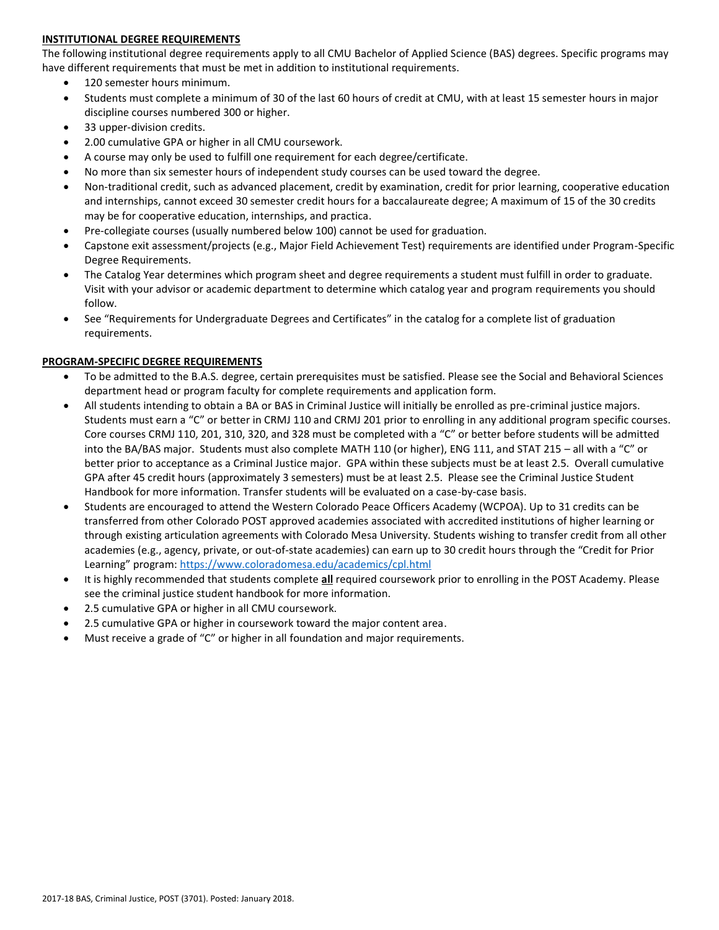### **INSTITUTIONAL DEGREE REQUIREMENTS**

The following institutional degree requirements apply to all CMU Bachelor of Applied Science (BAS) degrees. Specific programs may have different requirements that must be met in addition to institutional requirements.

- 120 semester hours minimum.
- Students must complete a minimum of 30 of the last 60 hours of credit at CMU, with at least 15 semester hours in major discipline courses numbered 300 or higher.
- 33 upper-division credits.
- 2.00 cumulative GPA or higher in all CMU coursework.
- A course may only be used to fulfill one requirement for each degree/certificate.
- No more than six semester hours of independent study courses can be used toward the degree.
- Non-traditional credit, such as advanced placement, credit by examination, credit for prior learning, cooperative education and internships, cannot exceed 30 semester credit hours for a baccalaureate degree; A maximum of 15 of the 30 credits may be for cooperative education, internships, and practica.
- Pre-collegiate courses (usually numbered below 100) cannot be used for graduation.
- Capstone exit assessment/projects (e.g., Major Field Achievement Test) requirements are identified under Program-Specific Degree Requirements.
- The Catalog Year determines which program sheet and degree requirements a student must fulfill in order to graduate. Visit with your advisor or academic department to determine which catalog year and program requirements you should follow.
- See "Requirements for Undergraduate Degrees and Certificates" in the catalog for a complete list of graduation requirements.

#### **PROGRAM-SPECIFIC DEGREE REQUIREMENTS**

- To be admitted to the B.A.S. degree, certain prerequisites must be satisfied. Please see the Social and Behavioral Sciences department head or program faculty for complete requirements and application form.
- All students intending to obtain a BA or BAS in Criminal Justice will initially be enrolled as pre-criminal justice majors. Students must earn a "C" or better in CRMJ 110 and CRMJ 201 prior to enrolling in any additional program specific courses. Core courses CRMJ 110, 201, 310, 320, and 328 must be completed with a "C" or better before students will be admitted into the BA/BAS major. Students must also complete MATH 110 (or higher), ENG 111, and STAT 215 – all with a "C" or better prior to acceptance as a Criminal Justice major. GPA within these subjects must be at least 2.5. Overall cumulative GPA after 45 credit hours (approximately 3 semesters) must be at least 2.5. Please see the Criminal Justice Student Handbook for more information. Transfer students will be evaluated on a case-by-case basis.
- Students are encouraged to attend the Western Colorado Peace Officers Academy (WCPOA). Up to 31 credits can be transferred from other Colorado POST approved academies associated with accredited institutions of higher learning or through existing articulation agreements with Colorado Mesa University. Students wishing to transfer credit from all other academies (e.g., agency, private, or out-of-state academies) can earn up to 30 credit hours through the "Credit for Prior Learning" program: <https://www.coloradomesa.edu/academics/cpl.html>
- It is highly recommended that students complete **all** required coursework prior to enrolling in the POST Academy. Please see the criminal justice student handbook for more information.
- 2.5 cumulative GPA or higher in all CMU coursework.
- 2.5 cumulative GPA or higher in coursework toward the major content area.
- Must receive a grade of "C" or higher in all foundation and major requirements.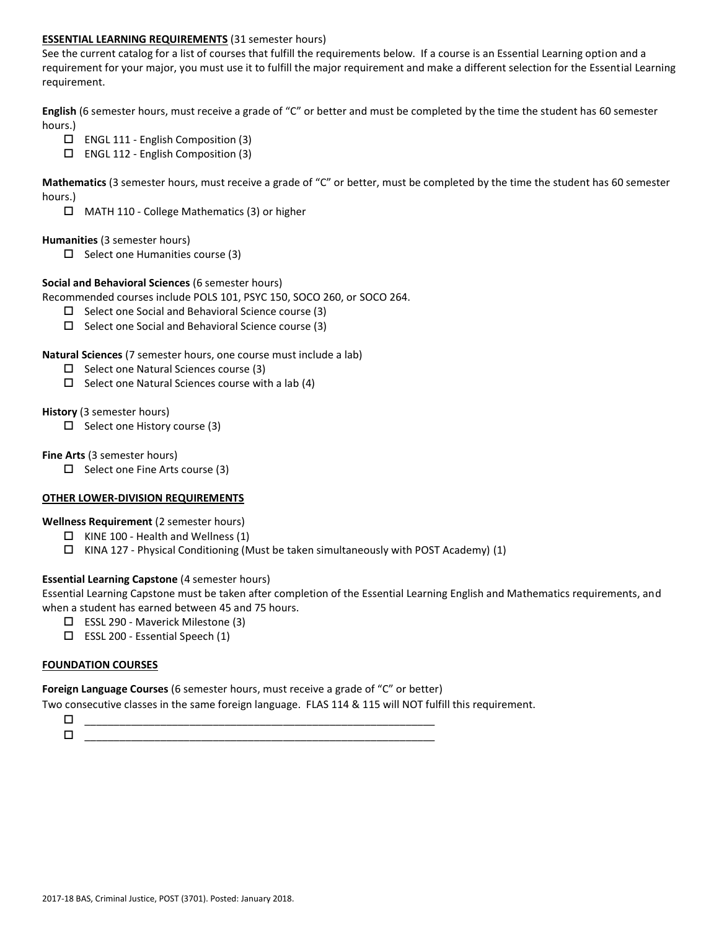### **ESSENTIAL LEARNING REQUIREMENTS** (31 semester hours)

See the current catalog for a list of courses that fulfill the requirements below. If a course is an Essential Learning option and a requirement for your major, you must use it to fulfill the major requirement and make a different selection for the Essential Learning requirement.

**English** (6 semester hours, must receive a grade of "C" or better and must be completed by the time the student has 60 semester hours.)

- $\Box$  ENGL 111 English Composition (3)
- ENGL 112 English Composition (3)

**Mathematics** (3 semester hours, must receive a grade of "C" or better, must be completed by the time the student has 60 semester hours.)

□ MATH 110 - College Mathematics (3) or higher

#### **Humanities** (3 semester hours)

 $\Box$  Select one Humanities course (3)

#### **Social and Behavioral Sciences** (6 semester hours)

Recommended courses include POLS 101, PSYC 150, SOCO 260, or SOCO 264.

- $\square$  Select one Social and Behavioral Science course (3)
- $\square$  Select one Social and Behavioral Science course (3)

### **Natural Sciences** (7 semester hours, one course must include a lab)

- $\square$  Select one Natural Sciences course (3)
- $\Box$  Select one Natural Sciences course with a lab (4)

#### **History** (3 semester hours)

 $\square$  Select one History course (3)

#### **Fine Arts** (3 semester hours)

 $\Box$  Select one Fine Arts course (3)

# **OTHER LOWER-DIVISION REQUIREMENTS**

# **Wellness Requirement** (2 semester hours)

- $\Box$  KINE 100 Health and Wellness (1)
- $\Box$  KINA 127 Physical Conditioning (Must be taken simultaneously with POST Academy) (1)

# **Essential Learning Capstone** (4 semester hours)

Essential Learning Capstone must be taken after completion of the Essential Learning English and Mathematics requirements, and when a student has earned between 45 and 75 hours.

- $\Box$  ESSL 290 Maverick Milestone (3)
- $\square$  ESSL 200 Essential Speech (1)

#### **FOUNDATION COURSES**

**Foreign Language Courses** (6 semester hours, must receive a grade of "C" or better)

Two consecutive classes in the same foreign language. FLAS 114 & 115 will NOT fulfill this requirement.

| ___<br>_____________<br>______<br>__<br>__ |  |
|--------------------------------------------|--|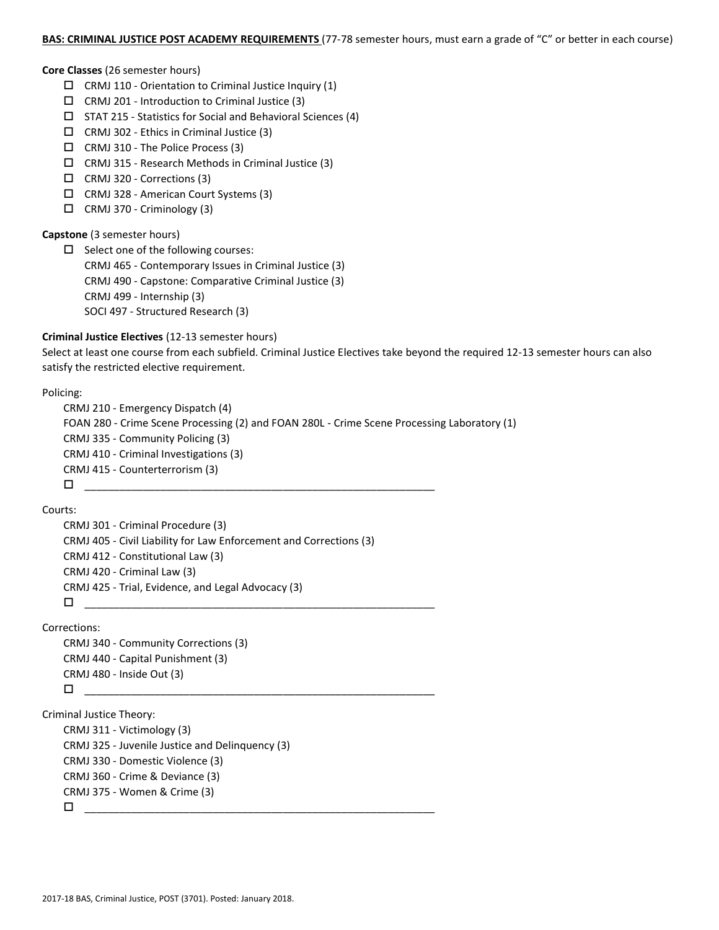#### **BAS: CRIMINAL JUSTICE POST ACADEMY REQUIREMENTS** (77-78 semester hours, must earn a grade of "C" or better in each course)

#### **Core Classes** (26 semester hours)

- $\Box$  CRMJ 110 Orientation to Criminal Justice Inquiry (1)
- $\Box$  CRMJ 201 Introduction to Criminal Justice (3)
- STAT 215 Statistics for Social and Behavioral Sciences (4)
- $\Box$  CRMJ 302 Ethics in Criminal Justice (3)
- CRMJ 310 The Police Process (3)
- $\Box$  CRMJ 315 Research Methods in Criminal Justice (3)
- CRMJ 320 Corrections (3)
- CRMJ 328 American Court Systems (3)
- CRMJ 370 Criminology (3)

### **Capstone** (3 semester hours)

 $\square$  Select one of the following courses: CRMJ 465 - Contemporary Issues in Criminal Justice (3) CRMJ 490 - Capstone: Comparative Criminal Justice (3) CRMJ 499 - Internship (3) SOCI 497 - Structured Research (3)

#### **Criminal Justice Electives** (12-13 semester hours)

Select at least one course from each subfield. Criminal Justice Electives take beyond the required 12-13 semester hours can also satisfy the restricted elective requirement.

#### Policing:

```
CRMJ 210 - Emergency Dispatch (4)
FOAN 280 - Crime Scene Processing (2) and FOAN 280L - Crime Scene Processing Laboratory (1)
CRMJ 335 - Community Policing (3)
CRMJ 410 - Criminal Investigations (3)
CRMJ 415 - Counterterrorism (3)
\Box \underline{\hspace{1cm}} \underline{\hspace{1cm}} \underline{\hspace{1cm}} \underline{\hspace{1cm}} \overline{\hspace{1cm}} \overline{\hspace{1cm}} \overline{\hspace{1cm}} \overline{\hspace{1cm}} \overline{\hspace{1cm}} \overline{\hspace{1cm}} \overline{\hspace{1cm}} \overline{\hspace{1cm}} \overline{\hspace{1cm}} \overline{\hspace{1cm}} \overline{\hspace{1cm}} \overline{\hspace{1cm}} \overline{\hspace{1
```
Courts:

```
CRMJ 301 - Criminal Procedure (3)
CRMJ 405 - Civil Liability for Law Enforcement and Corrections (3) 
CRMJ 412 - Constitutional Law (3)
CRMJ 420 - Criminal Law (3)
CRMJ 425 - Trial, Evidence, and Legal Advocacy (3)
 ____________________________________________________________
```
Corrections:

```
CRMJ 340 - Community Corrections (3)
CRMJ 440 - Capital Punishment (3)
CRMJ 480 - Inside Out (3)
 \Box \underline{\hspace{1cm}} \underline{\hspace{1cm}} \underline{\hspace{1cm}} \underline{\hspace{1cm}} \overline{\hspace{1cm}} \overline{\hspace{1cm}} \overline{\hspace{1cm}} \overline{\hspace{1cm}} \overline{\hspace{1cm}} \overline{\hspace{1cm}} \overline{\hspace{1cm}} \overline{\hspace{1cm}} \overline{\hspace{1cm}} \overline{\hspace{1cm}} \overline{\hspace{1cm}} \overline{\hspace{1cm}} \overline{\hspace{1
```
Criminal Justice Theory:

CRMJ 311 - Victimology (3)

CRMJ 325 - Juvenile Justice and Delinquency (3)

CRMJ 330 - Domestic Violence (3)

```
CRMJ 360 - Crime & Deviance (3)
```

```
CRMJ 375 - Women & Crime (3)
```

```
 ____________________________________________________________
```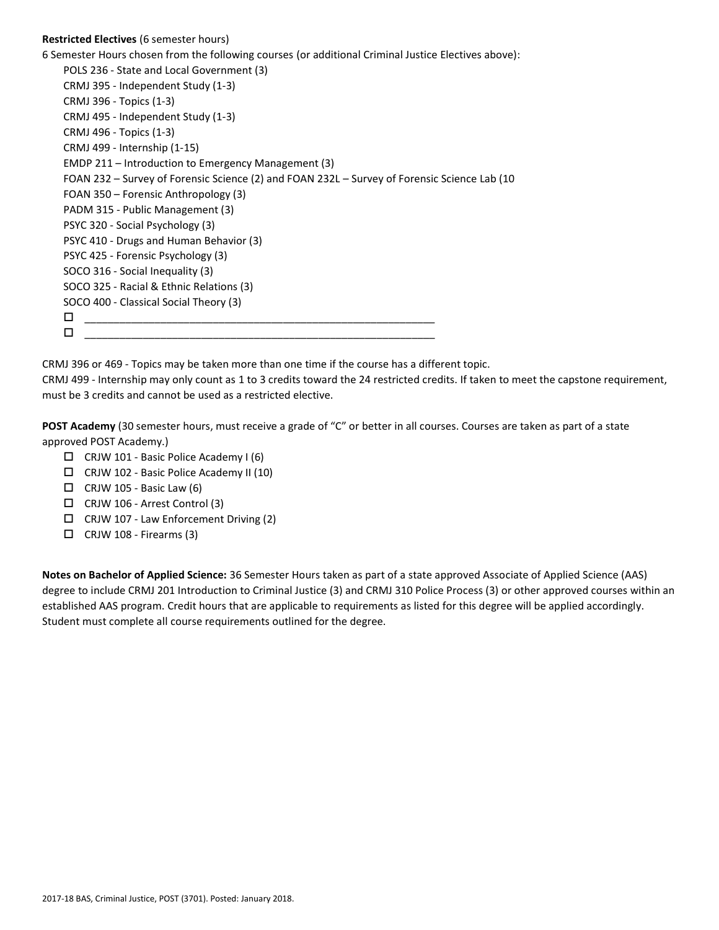# **Restricted Electives** (6 semester hours)

6 Semester Hours chosen from the following courses (or additional Criminal Justice Electives above):

POLS 236 - State and Local Government (3) CRMJ 395 - Independent Study (1-3) CRMJ 396 - Topics (1-3) CRMJ 495 - Independent Study (1-3) CRMJ 496 - Topics (1-3) CRMJ 499 - Internship (1-15) EMDP 211 – Introduction to Emergency Management (3) FOAN 232 – Survey of Forensic Science (2) and FOAN 232L – Survey of Forensic Science Lab (10 FOAN 350 – Forensic Anthropology (3) PADM 315 - Public Management (3) PSYC 320 - Social Psychology (3) PSYC 410 - Drugs and Human Behavior (3) PSYC 425 - Forensic Psychology (3) SOCO 316 - Social Inequality (3) SOCO 325 - Racial & Ethnic Relations (3) SOCO 400 - Classical Social Theory (3) \_\_\_\_\_\_\_\_\_\_\_\_\_\_\_\_\_\_\_\_\_\_\_\_\_\_\_\_\_\_\_\_\_\_\_\_\_\_\_\_\_\_\_\_\_\_\_\_\_\_\_\_\_\_\_\_\_\_\_\_  $\Box$   $\underline{\hspace{1cm}}$   $\underline{\hspace{1cm}}$   $\underline{\hspace{1cm}}$   $\underline{\hspace{1cm}}$   $\overline{\hspace{1cm}}$   $\overline{\hspace{1cm}}$   $\overline{\hspace{1cm}}$   $\overline{\hspace{1cm}}$   $\overline{\hspace{1cm}}$   $\overline{\hspace{1cm}}$   $\overline{\hspace{1cm}}$   $\overline{\hspace{1cm}}$   $\overline{\hspace{1cm}}$   $\overline{\hspace{1cm}}$   $\overline{\hspace{1cm}}$   $\overline{\hspace{1cm}}$   $\overline{\hspace{1$ 

CRMJ 396 or 469 - Topics may be taken more than one time if the course has a different topic.

CRMJ 499 - Internship may only count as 1 to 3 credits toward the 24 restricted credits. If taken to meet the capstone requirement, must be 3 credits and cannot be used as a restricted elective.

**POST Academy** (30 semester hours, must receive a grade of "C" or better in all courses. Courses are taken as part of a state approved POST Academy.)

- CRJW 101 Basic Police Academy I (6)
- CRJW 102 Basic Police Academy II (10)
- $\Box$  CRJW 105 Basic Law (6)
- CRJW 106 Arrest Control (3)
- $\Box$  CRJW 107 Law Enforcement Driving (2)
- $\Box$  CRJW 108 Firearms (3)

**Notes on Bachelor of Applied Science:** 36 Semester Hours taken as part of a state approved Associate of Applied Science (AAS) degree to include CRMJ 201 Introduction to Criminal Justice (3) and CRMJ 310 Police Process (3) or other approved courses within an established AAS program. Credit hours that are applicable to requirements as listed for this degree will be applied accordingly. Student must complete all course requirements outlined for the degree.